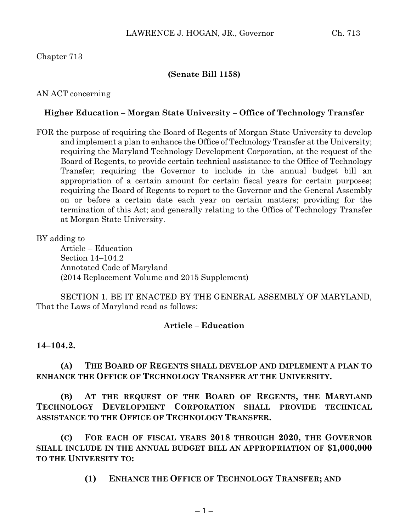# Chapter 713

# **(Senate Bill 1158)**

## AN ACT concerning

# **Higher Education – Morgan State University – Office of Technology Transfer**

FOR the purpose of requiring the Board of Regents of Morgan State University to develop and implement a plan to enhance the Office of Technology Transfer at the University; requiring the Maryland Technology Development Corporation, at the request of the Board of Regents, to provide certain technical assistance to the Office of Technology Transfer; requiring the Governor to include in the annual budget bill an appropriation of a certain amount for certain fiscal years for certain purposes; requiring the Board of Regents to report to the Governor and the General Assembly on or before a certain date each year on certain matters; providing for the termination of this Act; and generally relating to the Office of Technology Transfer at Morgan State University.

### BY adding to

Article – Education Section 14–104.2 Annotated Code of Maryland (2014 Replacement Volume and 2015 Supplement)

SECTION 1. BE IT ENACTED BY THE GENERAL ASSEMBLY OF MARYLAND, That the Laws of Maryland read as follows:

# **Article – Education**

#### **14–104.2.**

**(A) THE BOARD OF REGENTS SHALL DEVELOP AND IMPLEMENT A PLAN TO ENHANCE THE OFFICE OF TECHNOLOGY TRANSFER AT THE UNIVERSITY.**

**(B) AT THE REQUEST OF THE BOARD OF REGENTS, THE MARYLAND TECHNOLOGY DEVELOPMENT CORPORATION SHALL PROVIDE TECHNICAL ASSISTANCE TO THE OFFICE OF TECHNOLOGY TRANSFER.**

**(C) FOR EACH OF FISCAL YEARS 2018 THROUGH 2020, THE GOVERNOR SHALL INCLUDE IN THE ANNUAL BUDGET BILL AN APPROPRIATION OF \$1,000,000 TO THE UNIVERSITY TO:**

**(1) ENHANCE THE OFFICE OF TECHNOLOGY TRANSFER; AND**